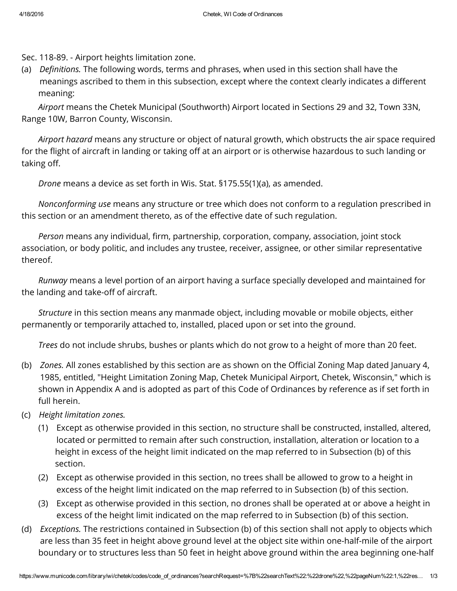Sec. 118-89. - Airport heights limitation zone.

(a) *Definitions*. The following words, terms and phrases, when used in this section shall have the meanings ascribed to them in this subsection, except where the context clearly indicates a different meaning:

*Airport* means the Chetek Municipal (Southworth) Airport located in Sections 29 and 32, Town 33N, Range 10W, Barron County, Wisconsin.

*Airport hazard* means any structure or object of natural growth, which obstructs the air space required for the flight of aircraft in landing or taking off at an airport or is otherwise hazardous to such landing or taking off.

*Drone* means a device as set forth in Wis. Stat. §175.55(1)(a), as amended.

*Nonconforming use* means any structure or tree which does not conform to a regulation prescribed in this section or an amendment thereto, as of the effective date of such regulation.

*Person* means any individual, firm, partnership, corporation, company, association, joint stock association, or body politic, and includes any trustee, receiver, assignee, or other similar representative thereof.

*Runway* means a level portion of an airport having a surface specially developed and maintained for the landing and take-off of aircraft.

*Structure* in this section means any manmade object, including movable or mobile objects, either permanently or temporarily attached to, installed, placed upon or set into the ground.

*Trees* do not include shrubs, bushes or plants which do not grow to a height of more than 20 feet.

- (b) *Zones.* All zones established by this section are as shown on the Official Zoning Map dated January 4, 1985, entitled, "Height Limitation Zoning Map, Chetek Municipal Airport, Chetek, Wisconsin," which is shown in Appendix A and is adopted as part of this Code of Ordinances by reference as if set forth in full herein.
- (c) *Height limitation zones.*
	- (1) Except as otherwise provided in this section, no structure shall be constructed, installed, altered, located or permitted to remain after such construction, installation, alteration or location to a height in excess of the height limit indicated on the map referred to in Subsection (b) of this section.
	- (2) Except as otherwise provided in this section, no trees shall be allowed to grow to a height in excess of the height limit indicated on the map referred to in Subsection (b) of this section.
	- (3) Except as otherwise provided in this section, no drones shall be operated at or above a height in excess of the height limit indicated on the map referred to in Subsection (b) of this section.
- (d) *Exceptions.* The restrictions contained in Subsection (b) of this section shall not apply to objects which are less than 35 feet in height above ground level at the object site within one-half-mile of the airport boundary or to structures less than 50 feet in height above ground within the area beginning one-half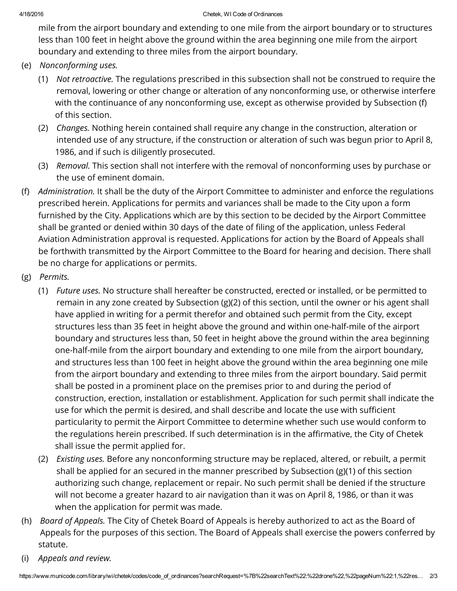## 4/18/2016 Chetek, WI Code of Ordinances

mile from the airport boundary and extending to one mile from the airport boundary or to structures less than 100 feet in height above the ground within the area beginning one mile from the airport boundary and extending to three miles from the airport boundary.

- (e) *Nonconforming uses.*
	- (1) *Not retroactive.* The regulations prescribed in this subsection shall not be construed to require the removal, lowering or other change or alteration of any nonconforming use, or otherwise interfere with the continuance of any nonconforming use, except as otherwise provided by Subsection (f) of this section.
	- (2) *Changes.* Nothing herein contained shall require any change in the construction, alteration or intended use of any structure, if the construction or alteration of such was begun prior to April 8, 1986, and if such is diligently prosecuted.
	- (3) *Removal.* This section shall not interfere with the removal of nonconforming uses by purchase or the use of eminent domain.
- (f) *Administration.* It shall be the duty of the Airport Committee to administer and enforce the regulations prescribed herein. Applications for permits and variances shall be made to the City upon a form furnished by the City. Applications which are by this section to be decided by the Airport Committee shall be granted or denied within 30 days of the date of filing of the application, unless Federal Aviation Administration approval is requested. Applications for action by the Board of Appeals shall be forthwith transmitted by the Airport Committee to the Board for hearing and decision. There shall be no charge for applications or permits.
- (g) *Permits.*
	- (1) *Future uses.* No structure shall hereafter be constructed, erected or installed, or be permitted to remain in any zone created by Subsection (g)(2) of this section, until the owner or his agent shall have applied in writing for a permit therefor and obtained such permit from the City, except structures less than 35 feet in height above the ground and within one-half-mile of the airport boundary and structures less than, 50 feet in height above the ground within the area beginning one-half-mile from the airport boundary and extending to one mile from the airport boundary, and structures less than 100 feet in height above the ground within the area beginning one mile from the airport boundary and extending to three miles from the airport boundary. Said permit shall be posted in a prominent place on the premises prior to and during the period of construction, erection, installation or establishment. Application for such permit shall indicate the use for which the permit is desired, and shall describe and locate the use with sufficient particularity to permit the Airport Committee to determine whether such use would conform to the regulations herein prescribed. If such determination is in the affirmative, the City of Chetek shall issue the permit applied for.
	- (2) *Existing uses.* Before any nonconforming structure may be replaced, altered, or rebuilt, a permit shall be applied for an secured in the manner prescribed by Subsection (g)(1) of this section authorizing such change, replacement or repair. No such permit shall be denied if the structure will not become a greater hazard to air navigation than it was on April 8, 1986, or than it was when the application for permit was made.
- (h) *Board of Appeals.* The City of Chetek Board of Appeals is hereby authorized to act as the Board of Appeals for the purposes of this section. The Board of Appeals shall exercise the powers conferred by statute.
- (i) *Appeals and review.*